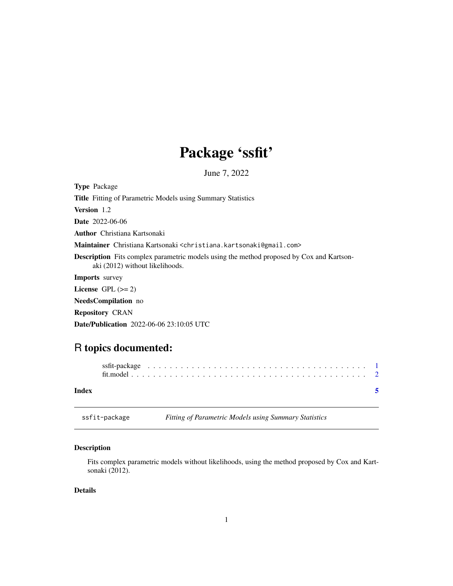## Package 'ssfit'

June 7, 2022

<span id="page-0-0"></span>

| <b>Type Package</b>                                                                                                                |
|------------------------------------------------------------------------------------------------------------------------------------|
| <b>Title</b> Fitting of Parametric Models using Summary Statistics                                                                 |
| <b>Version</b> 1.2                                                                                                                 |
| <b>Date</b> 2022-06-06                                                                                                             |
| <b>Author</b> Christiana Kartsonaki                                                                                                |
| <b>Maintainer</b> Christiana Kartsonaki <christiana.kartsonaki@gmail.com></christiana.kartsonaki@gmail.com>                        |
| <b>Description</b> Fits complex parametric models using the method proposed by Cox and Kartson-<br>aki (2012) without likelihoods. |
| <b>Imports</b> survey                                                                                                              |
| License $GPL \, (= 2)$                                                                                                             |
| <b>NeedsCompilation</b> no                                                                                                         |
| <b>Repository CRAN</b>                                                                                                             |
| <b>Date/Publication</b> 2022-06-06 23:10:05 UTC                                                                                    |

### R topics documented:

| Index |  |  |  |  |  |  |  |  |  |  |  |  |  |  |  |  |  |  |  |  |
|-------|--|--|--|--|--|--|--|--|--|--|--|--|--|--|--|--|--|--|--|--|

ssfit-package *Fitting of Parametric Models using Summary Statistics*

#### Description

Fits complex parametric models without likelihoods, using the method proposed by Cox and Kartsonaki (2012).

#### Details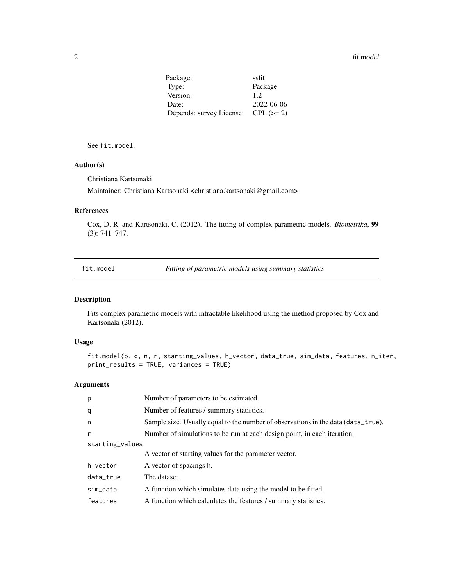#### <span id="page-1-0"></span>2 fit.model

| Package:                 | ssfit      |
|--------------------------|------------|
| Type:                    | Package    |
| Version:                 | 1.2        |
| Date:                    | 2022-06-06 |
| Depends: survey License: | $GPL (=2)$ |

See fit.model.

#### Author(s)

Christiana Kartsonaki

Maintainer: Christiana Kartsonaki <christiana.kartsonaki@gmail.com>

#### References

Cox, D. R. and Kartsonaki, C. (2012). The fitting of complex parametric models. *Biometrika*, 99 (3): 741–747.

fit.model *Fitting of parametric models using summary statistics*

#### Description

Fits complex parametric models with intractable likelihood using the method proposed by Cox and Kartsonaki (2012).

#### Usage

```
fit.model(p, q, n, r, starting_values, h_vector, data_true, sim_data, features, n_iter,
print_results = TRUE, variances = TRUE)
```
#### Arguments

| p               | Number of parameters to be estimated.                                             |
|-----------------|-----------------------------------------------------------------------------------|
| q               | Number of features / summary statistics.                                          |
| n               | Sample size. Usually equal to the number of observations in the data (data_true). |
| $\mathsf{r}$    | Number of simulations to be run at each design point, in each iteration.          |
| starting_values |                                                                                   |
|                 | A vector of starting values for the parameter vector.                             |
| h_vector        | A vector of spacings h.                                                           |
| data_true       | The dataset.                                                                      |
| sim_data        | A function which simulates data using the model to be fitted.                     |
| features        | A function which calculates the features / summary statistics.                    |
|                 |                                                                                   |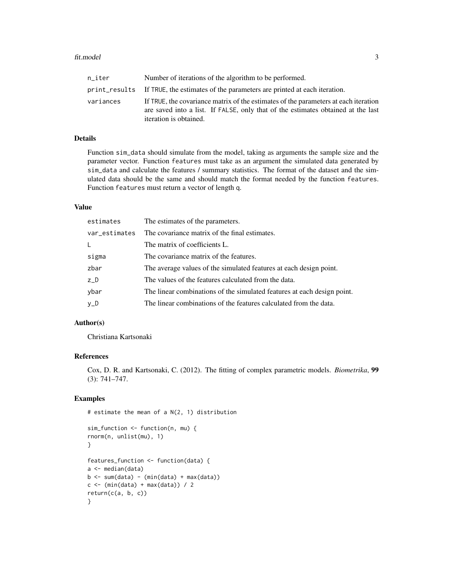#### fit.model 3

| n iter    | Number of iterations of the algorithm to be performed.                                                                                                                                            |
|-----------|---------------------------------------------------------------------------------------------------------------------------------------------------------------------------------------------------|
|           | print results If TRUE, the estimates of the parameters are printed at each iteration.                                                                                                             |
| variances | If TRUE, the covariance matrix of the estimates of the parameters at each iteration<br>are saved into a list. If FALSE, only that of the estimates obtained at the last<br>iteration is obtained. |

#### Details

Function sim\_data should simulate from the model, taking as arguments the sample size and the parameter vector. Function features must take as an argument the simulated data generated by sim\_data and calculate the features / summary statistics. The format of the dataset and the simulated data should be the same and should match the format needed by the function features. Function features must return a vector of length q.

#### Value

| estimates     | The estimates of the parameters.                                        |
|---------------|-------------------------------------------------------------------------|
| var_estimates | The covariance matrix of the final estimates.                           |
| L             | The matrix of coefficients L.                                           |
| sigma         | The covariance matrix of the features.                                  |
| zbar          | The average values of the simulated features at each design point.      |
| $Z_D$         | The values of the features calculated from the data.                    |
| ybar          | The linear combinations of the simulated features at each design point. |
| y_D           | The linear combinations of the features calculated from the data.       |

#### Author(s)

Christiana Kartsonaki

#### References

Cox, D. R. and Kartsonaki, C. (2012). The fitting of complex parametric models. *Biometrika*, 99 (3): 741–747.

#### Examples

```
# estimate the mean of a N(2, 1) distribution
```

```
sim_function <- function(n, mu) {
rnorm(n, unlist(mu), 1)
}
features_function <- function(data) {
a <- median(data)
b \le -\text{sum(data)} - (\text{min(data)} + \text{max(data)})c \leftarrow (min(data) + max(data)) / 2return(c(a, b, c))
}
```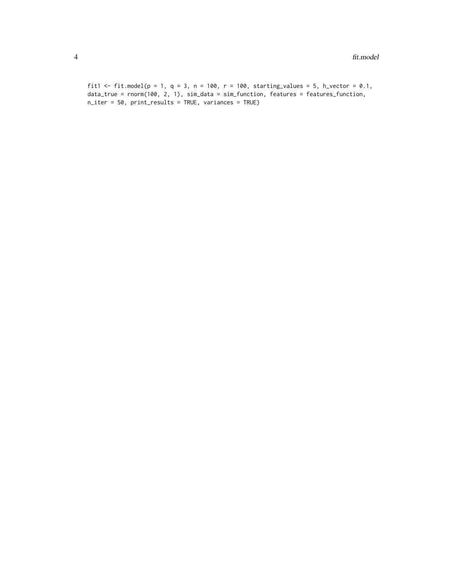```
fit1 <- fit.model(p = 1, q = 3, n = 100, r = 100, starting_values = 5, h_vector = 0.1,
data_true = rnorm(100, 2, 1), sim_data = sim_function, features = features_function,
n_iter = 50, print_results = TRUE, variances = TRUE)
```